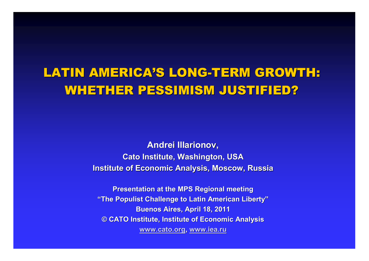# LATIN AMERICA'S LONG-TERM GROWTH: WHETHER PESSIMISM JUSTIFIED?

**Andrei Illarionov,Cato Institute, Washington, USAInstitute of Economic Analysis, Moscow, Russia**

**Presentation at the MPS Regional meeting "The Populist Challenge to Latin American Liberty"Buenos Aires, April 18, 2011 © CATO Institute, Institute of Economic Analysis www.cato.org, www.iea.ru**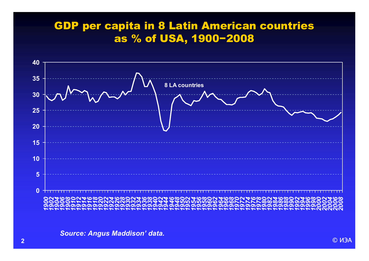## GDP per capita in 8 Latin American countries as % of USA, 1900−2008

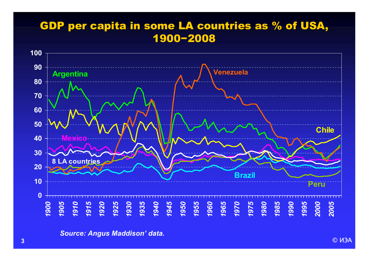#### GDP per capita in some LA countries as % of USA, 1900−2008

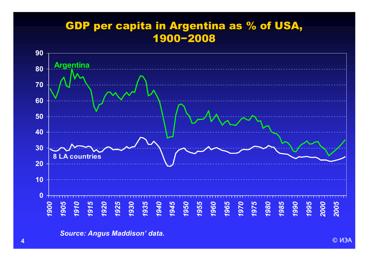## GDP per capita in Argentina as % of USA, 1900−2008

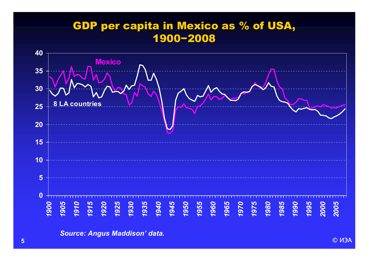## GDP per capita in Mexico as % of USA, 1900−2008

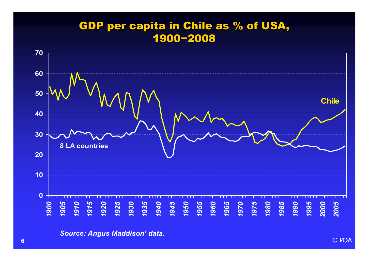## GDP per capita in Chile as % of USA, 1900−2008

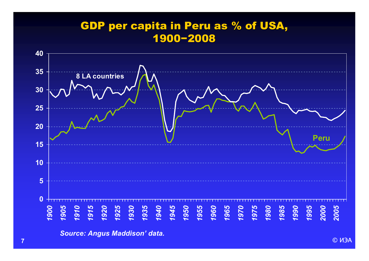## GDP per capita in Peru as % of USA, 1900−2008

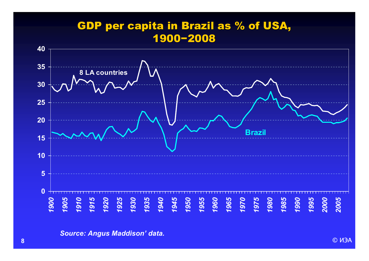## GDP per capita in Brazil as % of USA, 1900−2008

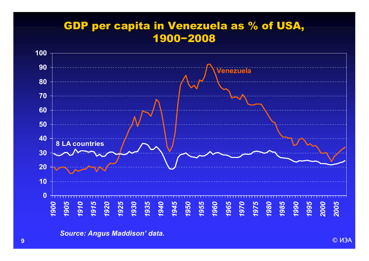## GDP per capita in Venezuela as % of USA, 1900−2008